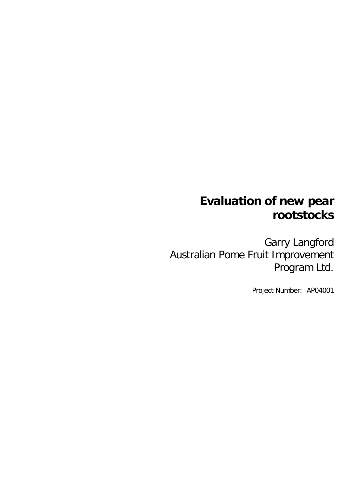# **Evaluation of new pear rootstocks**

Garry Langford Australian Pome Fruit Improvement Program Ltd.

Project Number: AP04001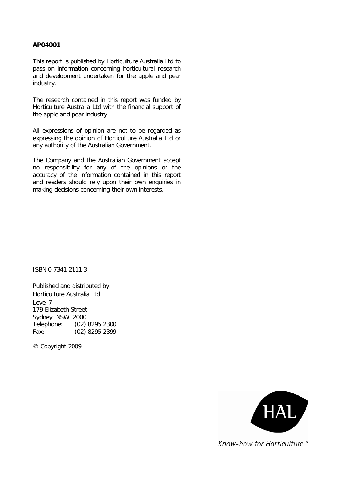#### **AP04001**

This report is published by Horticulture Australia Ltd to pass on information concerning horticultural research and development undertaken for the apple and pear industry.

The research contained in this report was funded by Horticulture Australia Ltd with the financial support of the apple and pear industry.

All expressions of opinion are not to be regarded as expressing the opinion of Horticulture Australia Ltd or any authority of the Australian Government.

The Company and the Australian Government accept no responsibility for any of the opinions or the accuracy of the information contained in this report and readers should rely upon their own enquiries in making decisions concerning their own interests.

ISBN 0 7341 2111 3

Published and distributed by: Horticulture Australia Ltd Level 7 179 Elizabeth Street Sydney NSW 2000 Telephone: (02) 8295 2300 Fax: (02) 8295 2399

© Copyright 2009



Know-how for Horticulture™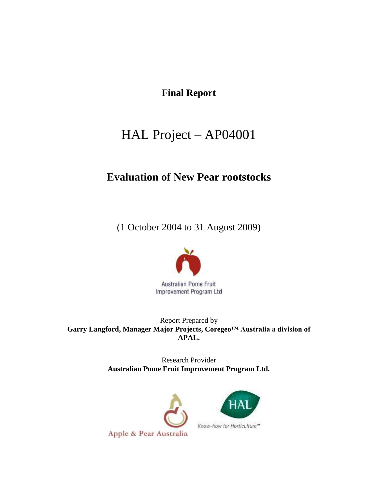# **Final Report**

# HAL Project – AP04001

# **Evaluation of New Pear rootstocks**

(1 October 2004 to 31 August 2009)



Report Prepared by **Garry Langford, Manager Major Projects, Coregeo™ Australia a division of APAL.**

> Research Provider **Australian Pome Fruit Improvement Program Ltd.**



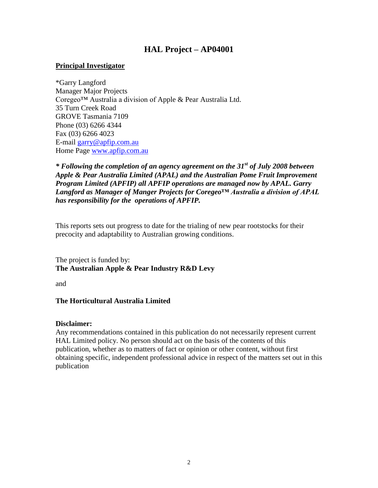### **HAL Project – AP04001**

#### **Principal Investigator**

\*Garry Langford Manager Major Projects Coregeo™ Australia a division of Apple & Pear Australia Ltd. 35 Turn Creek Road GROVE Tasmania 7109 Phone (03) 6266 4344 Fax (03) 6266 4023 E-mail [garry@apfip.com.au](mailto:garry@apfip.com.au) Home Page [www.apfip.com.au](http://www.apfip.com.au/)

*\* Following the completion of an agency agreement on the 31st of July 2008 between Apple & Pear Australia Limited (APAL) and the Australian Pome Fruit Improvement Program Limited (APFIP) all APFIP operations are managed now by APAL. Garry Langford as Manager of Manger Projects for Coregeo™ Australia a division of APAL has responsibility for the operations of APFIP.* 

This reports sets out progress to date for the trialing of new pear rootstocks for their precocity and adaptability to Australian growing conditions.

The project is funded by: **The Australian Apple & Pear Industry R&D Levy**

and

#### **The Horticultural Australia Limited**

#### **Disclaimer:**

Any recommendations contained in this publication do not necessarily represent current HAL Limited policy. No person should act on the basis of the contents of this publication, whether as to matters of fact or opinion or other content, without first obtaining specific, independent professional advice in respect of the matters set out in this publication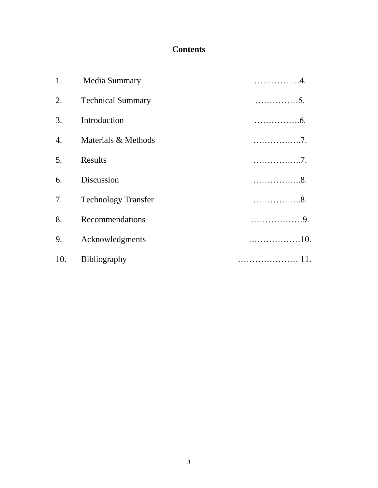# **Contents**

|    | 1. Media Summary           | . 4.  |
|----|----------------------------|-------|
| 2. | <b>Technical Summary</b>   | . 5.  |
| 3. | Introduction               | . 6.  |
|    | 4. Materials & Methods     | . 7 . |
| 5. | Results                    | . 7 . |
| 6. | Discussion                 | . 8.  |
| 7. | <b>Technology Transfer</b> | . 8.  |
| 8. | Recommendations            | . 9.  |
| 9. | Acknowledgments            |       |
|    | 10. Bibliography           |       |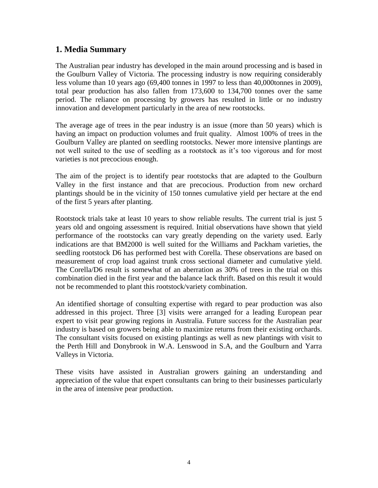### **1. Media Summary**

The Australian pear industry has developed in the main around processing and is based in the Goulburn Valley of Victoria. The processing industry is now requiring considerably less volume than 10 years ago (69,400 tonnes in 1997 to less than 40,000tonnes in 2009), total pear production has also fallen from 173,600 to 134,700 tonnes over the same period. The reliance on processing by growers has resulted in little or no industry innovation and development particularly in the area of new rootstocks.

The average age of trees in the pear industry is an issue (more than 50 years) which is having an impact on production volumes and fruit quality. Almost 100% of trees in the Goulburn Valley are planted on seedling rootstocks. Newer more intensive plantings are not well suited to the use of seedling as a rootstock as it's too vigorous and for most varieties is not precocious enough.

The aim of the project is to identify pear rootstocks that are adapted to the Goulburn Valley in the first instance and that are precocious. Production from new orchard plantings should be in the vicinity of 150 tonnes cumulative yield per hectare at the end of the first 5 years after planting.

Rootstock trials take at least 10 years to show reliable results. The current trial is just 5 years old and ongoing assessment is required. Initial observations have shown that yield performance of the rootstocks can vary greatly depending on the variety used. Early indications are that BM2000 is well suited for the Williams and Packham varieties, the seedling rootstock D6 has performed best with Corella. These observations are based on measurement of crop load against trunk cross sectional diameter and cumulative yield. The Corella/D6 result is somewhat of an aberration as 30% of trees in the trial on this combination died in the first year and the balance lack thrift. Based on this result it would not be recommended to plant this rootstock/variety combination.

An identified shortage of consulting expertise with regard to pear production was also addressed in this project. Three [3] visits were arranged for a leading European pear expert to visit pear growing regions in Australia. Future success for the Australian pear industry is based on growers being able to maximize returns from their existing orchards. The consultant visits focused on existing plantings as well as new plantings with visit to the Perth Hill and Donybrook in W.A. Lenswood in S.A, and the Goulburn and Yarra Valleys in Victoria.

These visits have assisted in Australian growers gaining an understanding and appreciation of the value that expert consultants can bring to their businesses particularly in the area of intensive pear production.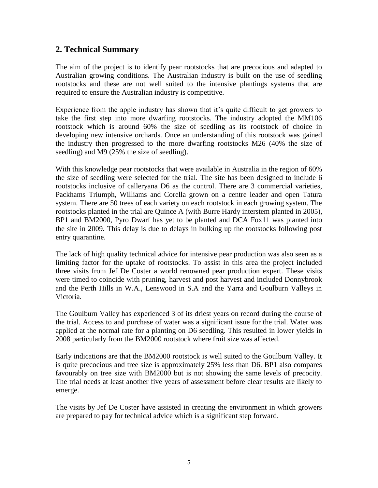### **2. Technical Summary**

The aim of the project is to identify pear rootstocks that are precocious and adapted to Australian growing conditions. The Australian industry is built on the use of seedling rootstocks and these are not well suited to the intensive plantings systems that are required to ensure the Australian industry is competitive.

Experience from the apple industry has shown that it's quite difficult to get growers to take the first step into more dwarfing rootstocks. The industry adopted the MM106 rootstock which is around 60% the size of seedling as its rootstock of choice in developing new intensive orchards. Once an understanding of this rootstock was gained the industry then progressed to the more dwarfing rootstocks M26 (40% the size of seedling) and M9 (25% the size of seedling).

With this knowledge pear rootstocks that were available in Australia in the region of 60% the size of seedling were selected for the trial. The site has been designed to include 6 rootstocks inclusive of calleryana D6 as the control. There are 3 commercial varieties, Packhams Triumph, Williams and Corella grown on a centre leader and open Tatura system. There are 50 trees of each variety on each rootstock in each growing system. The rootstocks planted in the trial are Quince A (with Burre Hardy interstem planted in 2005), BP1 and BM2000, Pyro Dwarf has yet to be planted and DCA Fox11 was planted into the site in 2009. This delay is due to delays in bulking up the rootstocks following post entry quarantine.

The lack of high quality technical advice for intensive pear production was also seen as a limiting factor for the uptake of rootstocks. To assist in this area the project included three visits from Jef De Coster a world renowned pear production expert. These visits were timed to coincide with pruning, harvest and post harvest and included Donnybrook and the Perth Hills in W.A., Lenswood in S.A and the Yarra and Goulburn Valleys in Victoria.

The Goulburn Valley has experienced 3 of its driest years on record during the course of the trial. Access to and purchase of water was a significant issue for the trial. Water was applied at the normal rate for a planting on D6 seedling. This resulted in lower yields in 2008 particularly from the BM2000 rootstock where fruit size was affected.

Early indications are that the BM2000 rootstock is well suited to the Goulburn Valley. It is quite precocious and tree size is approximately 25% less than D6. BP1 also compares favourably on tree size with BM2000 but is not showing the same levels of precocity. The trial needs at least another five years of assessment before clear results are likely to emerge.

The visits by Jef De Coster have assisted in creating the environment in which growers are prepared to pay for technical advice which is a significant step forward.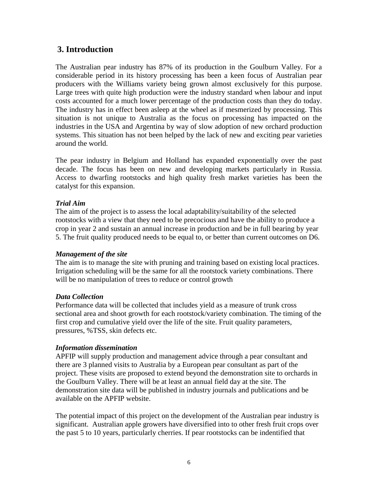## **3. Introduction**

The Australian pear industry has 87% of its production in the Goulburn Valley. For a considerable period in its history processing has been a keen focus of Australian pear producers with the Williams variety being grown almost exclusively for this purpose. Large trees with quite high production were the industry standard when labour and input costs accounted for a much lower percentage of the production costs than they do today. The industry has in effect been asleep at the wheel as if mesmerized by processing. This situation is not unique to Australia as the focus on processing has impacted on the industries in the USA and Argentina by way of slow adoption of new orchard production systems. This situation has not been helped by the lack of new and exciting pear varieties around the world.

The pear industry in Belgium and Holland has expanded exponentially over the past decade. The focus has been on new and developing markets particularly in Russia. Access to dwarfing rootstocks and high quality fresh market varieties has been the catalyst for this expansion.

#### *Trial Aim*

The aim of the project is to assess the local adaptability/suitability of the selected rootstocks with a view that they need to be precocious and have the ability to produce a crop in year 2 and sustain an annual increase in production and be in full bearing by year 5. The fruit quality produced needs to be equal to, or better than current outcomes on D6.

#### *Management of the site*

The aim is to manage the site with pruning and training based on existing local practices. Irrigation scheduling will be the same for all the rootstock variety combinations. There will be no manipulation of trees to reduce or control growth

#### *Data Collection*

Performance data will be collected that includes yield as a measure of trunk cross sectional area and shoot growth for each rootstock/variety combination. The timing of the first crop and cumulative yield over the life of the site. Fruit quality parameters, pressures, %TSS, skin defects etc.

#### *Information dissemination*

APFIP will supply production and management advice through a pear consultant and there are 3 planned visits to Australia by a European pear consultant as part of the project. These visits are proposed to extend beyond the demonstration site to orchards in the Goulburn Valley. There will be at least an annual field day at the site. The demonstration site data will be published in industry journals and publications and be available on the APFIP website.

The potential impact of this project on the development of the Australian pear industry is significant. Australian apple growers have diversified into to other fresh fruit crops over the past 5 to 10 years, particularly cherries. If pear rootstocks can be indentified that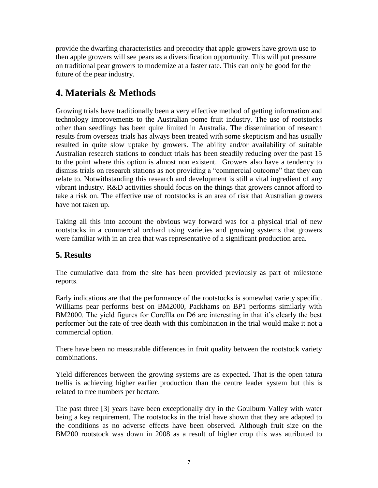provide the dwarfing characteristics and precocity that apple growers have grown use to then apple growers will see pears as a diversification opportunity. This will put pressure on traditional pear growers to modernize at a faster rate. This can only be good for the future of the pear industry.

# **4. Materials & Methods**

Growing trials have traditionally been a very effective method of getting information and technology improvements to the Australian pome fruit industry. The use of rootstocks other than seedlings has been quite limited in Australia. The dissemination of research results from overseas trials has always been treated with some skepticism and has usually resulted in quite slow uptake by growers. The ability and/or availability of suitable Australian research stations to conduct trials has been steadily reducing over the past 15 to the point where this option is almost non existent. Growers also have a tendency to dismiss trials on research stations as not providing a "commercial outcome" that they can relate to. Notwithstanding this research and development is still a vital ingredient of any vibrant industry. R&D activities should focus on the things that growers cannot afford to take a risk on. The effective use of rootstocks is an area of risk that Australian growers have not taken up.

Taking all this into account the obvious way forward was for a physical trial of new rootstocks in a commercial orchard using varieties and growing systems that growers were familiar with in an area that was representative of a significant production area.

## **5. Results**

The cumulative data from the site has been provided previously as part of milestone reports.

Early indications are that the performance of the rootstocks is somewhat variety specific. Williams pear performs best on BM2000, Packhams on BP1 performs similarly with BM2000. The yield figures for Corellla on D6 are interesting in that it's clearly the best performer but the rate of tree death with this combination in the trial would make it not a commercial option.

There have been no measurable differences in fruit quality between the rootstock variety combinations.

Yield differences between the growing systems are as expected. That is the open tatura trellis is achieving higher earlier production than the centre leader system but this is related to tree numbers per hectare.

The past three [3] years have been exceptionally dry in the Goulburn Valley with water being a key requirement. The rootstocks in the trial have shown that they are adapted to the conditions as no adverse effects have been observed. Although fruit size on the BM200 rootstock was down in 2008 as a result of higher crop this was attributed to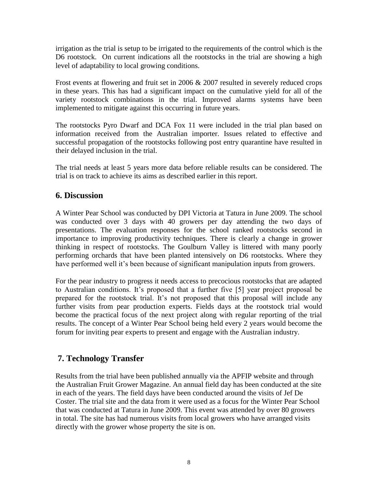irrigation as the trial is setup to be irrigated to the requirements of the control which is the D6 rootstock. On current indications all the rootstocks in the trial are showing a high level of adaptability to local growing conditions.

Frost events at flowering and fruit set in 2006 & 2007 resulted in severely reduced crops in these years. This has had a significant impact on the cumulative yield for all of the variety rootstock combinations in the trial. Improved alarms systems have been implemented to mitigate against this occurring in future years.

The rootstocks Pyro Dwarf and DCA Fox 11 were included in the trial plan based on information received from the Australian importer. Issues related to effective and successful propagation of the rootstocks following post entry quarantine have resulted in their delayed inclusion in the trial.

The trial needs at least 5 years more data before reliable results can be considered. The trial is on track to achieve its aims as described earlier in this report.

### **6. Discussion**

A Winter Pear School was conducted by DPI Victoria at Tatura in June 2009. The school was conducted over 3 days with 40 growers per day attending the two days of presentations. The evaluation responses for the school ranked rootstocks second in importance to improving productivity techniques. There is clearly a change in grower thinking in respect of rootstocks. The Goulburn Valley is littered with many poorly performing orchards that have been planted intensively on D6 rootstocks. Where they have performed well it's been because of significant manipulation inputs from growers.

For the pear industry to progress it needs access to precocious rootstocks that are adapted to Australian conditions. It's proposed that a further five [5] year project proposal be prepared for the rootstock trial. It's not proposed that this proposal will include any further visits from pear production experts. Fields days at the rootstock trial would become the practical focus of the next project along with regular reporting of the trial results. The concept of a Winter Pear School being held every 2 years would become the forum for inviting pear experts to present and engage with the Australian industry.

## **7. Technology Transfer**

Results from the trial have been published annually via the APFIP website and through the Australian Fruit Grower Magazine. An annual field day has been conducted at the site in each of the years. The field days have been conducted around the visits of Jef De Coster. The trial site and the data from it were used as a focus for the Winter Pear School that was conducted at Tatura in June 2009. This event was attended by over 80 growers in total. The site has had numerous visits from local growers who have arranged visits directly with the grower whose property the site is on.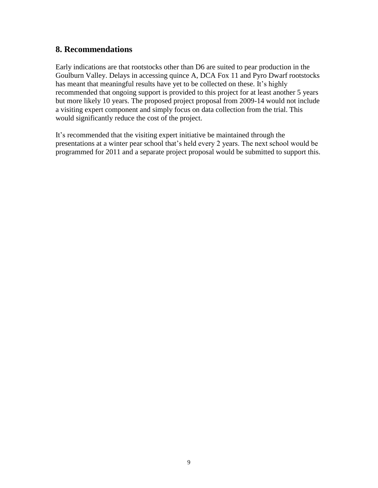### **8. Recommendations**

Early indications are that rootstocks other than D6 are suited to pear production in the Goulburn Valley. Delays in accessing quince A, DCA Fox 11 and Pyro Dwarf rootstocks has meant that meaningful results have yet to be collected on these. It's highly recommended that ongoing support is provided to this project for at least another 5 years but more likely 10 years. The proposed project proposal from 2009-14 would not include a visiting expert component and simply focus on data collection from the trial. This would significantly reduce the cost of the project.

It's recommended that the visiting expert initiative be maintained through the presentations at a winter pear school that's held every 2 years. The next school would be programmed for 2011 and a separate project proposal would be submitted to support this.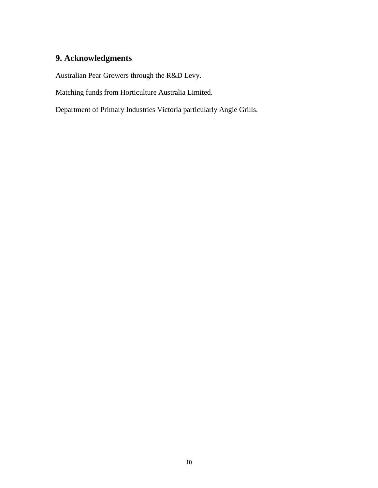# **9. Acknowledgments**

Australian Pear Growers through the R&D Levy.

Matching funds from Horticulture Australia Limited.

Department of Primary Industries Victoria particularly Angie Grills.